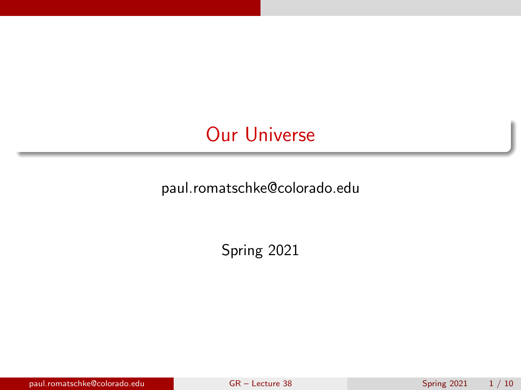# <span id="page-0-0"></span>Our Universe

paul.romatschke@colorado.edu

Spring 2021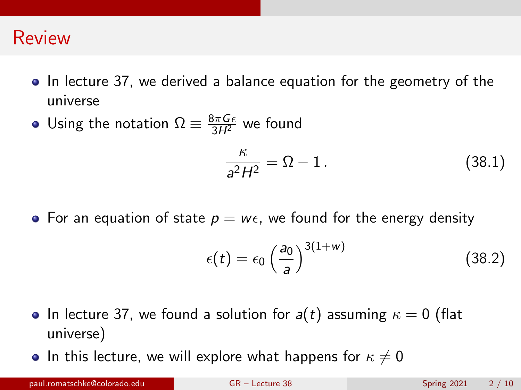#### Review

- In lecture 37, we derived a balance equation for the geometry of the universe
- Using the notation  $\Omega \equiv \frac{8\pi G \epsilon}{3H^2}$  we found

<span id="page-1-0"></span>
$$
\frac{\kappa}{a^2H^2} = \Omega - 1. \tag{38.1}
$$

• For an equation of state  $p = w\epsilon$ , we found for the energy density

<span id="page-1-1"></span>
$$
\epsilon(t) = \epsilon_0 \left(\frac{a_0}{a}\right)^{3(1+w)} \tag{38.2}
$$

- In lecture 37, we found a solution for  $a(t)$  assuming  $\kappa = 0$  (flat universe)
- In this lecture, we will explore what happens for  $\kappa \neq 0$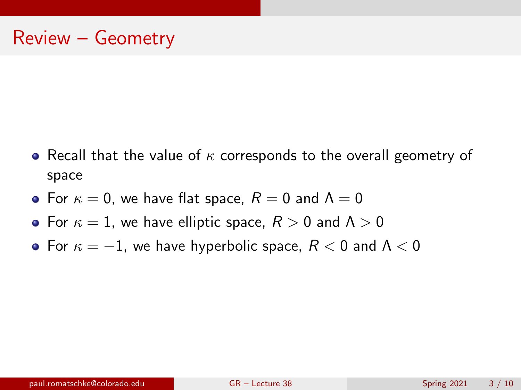- Recall that the value of  $\kappa$  corresponds to the overall geometry of space
- For  $\kappa = 0$ , we have flat space,  $R = 0$  and  $\Lambda = 0$
- For  $\kappa = 1$ , we have elliptic space,  $R > 0$  and  $\Lambda > 0$
- For  $\kappa = -1$ , we have hyperbolic space,  $R < 0$  and  $\Lambda < 0$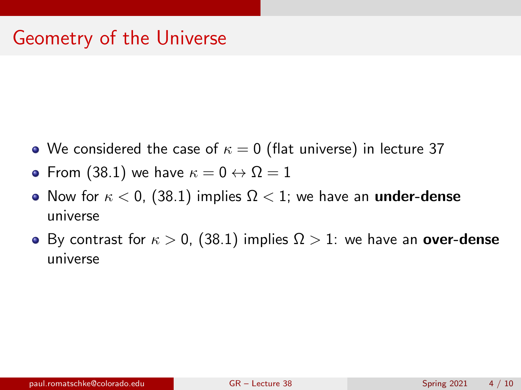- We considered the case of  $\kappa = 0$  (flat universe) in lecture 37
- From [\(38.1\)](#page-1-0) we have  $\kappa = 0 \leftrightarrow \Omega = 1$
- Now for  $\kappa < 0$ , [\(38.1\)](#page-1-0) implies  $\Omega < 1$ ; we have an **under-dense** universe
- By contrast for  $\kappa > 0$ , [\(38.1\)](#page-1-0) implies  $\Omega > 1$ : we have an **over-dense** universe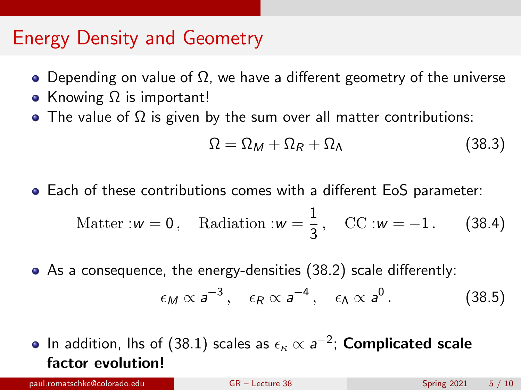### Energy Density and Geometry

- Depending on value of  $\Omega$ , we have a different geometry of the universe
- Knowing  $\Omega$  is important!
- The value of  $\Omega$  is given by the sum over all matter contributions:

<span id="page-4-0"></span>
$$
\Omega = \Omega_M + \Omega_R + \Omega_\Lambda \tag{38.3}
$$

Each of these contributions comes with a different EoS parameter:

$$
Matter : w = 0, \quad \text{Radiation} : w = \frac{1}{3}, \quad \text{CC} : w = -1. \tag{38.4}
$$

As a consequence, the energy-densities [\(38.2\)](#page-1-1) scale differently:

$$
\epsilon_M \propto a^{-3}
$$
,  $\epsilon_R \propto a^{-4}$ ,  $\epsilon_\Lambda \propto a^0$ . (38.5)

In addition, lhs of [\(38.1\)](#page-1-0) scales as  $\epsilon_\kappa\propto$   $a^{-2};$  <code>Complicated scale</code> factor evolution!

paul.romatschke@colorado.edu [GR – Lecture 38](#page-0-0) Spring 2021 5 / 10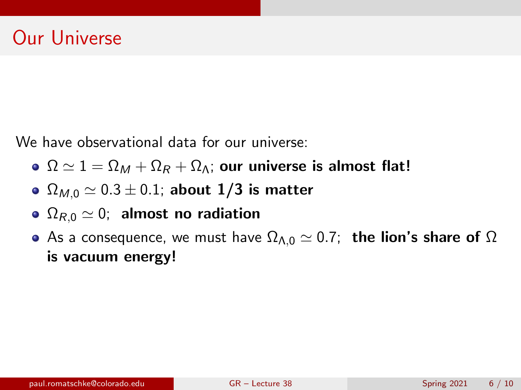We have observational data for our universe:

- $\Omega \simeq 1 = \Omega_M + \Omega_R + \Omega_{\Lambda}$ ; our universe is almost flat!
- $\Omega_{M,0} \simeq 0.3 \pm 0.1$ ; about 1/3 is matter
- $\Omega_{R,0} \simeq 0$ ; almost no radiation
- As a consequence, we must have  $\Omega_{\Lambda,0} \simeq 0.7$ ; the lion's share of  $\Omega$ is vacuum energy!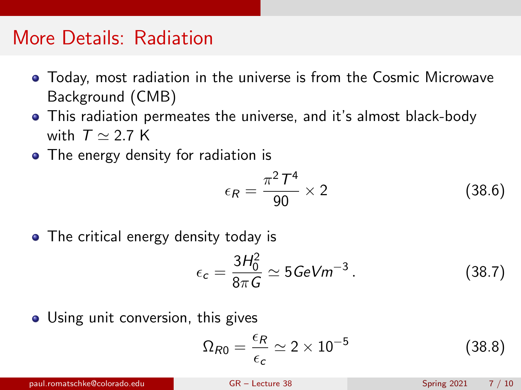### More Details: Radiation

- Today, most radiation in the universe is from the Cosmic Microwave Background (CMB)
- This radiation permeates the universe, and it's almost black-body with  $T \simeq 2.7$  K
- The energy density for radiation is

$$
\epsilon_R = \frac{\pi^2 \, T^4}{90} \times 2 \tag{38.6}
$$

• The critical energy density today is

$$
\epsilon_c = \frac{3H_0^2}{8\pi G} \simeq 5\,\text{GeVm}^{-3} \,. \tag{38.7}
$$

• Using unit conversion, this gives

$$
\Omega_{R0} = \frac{\epsilon_R}{\epsilon_c} \simeq 2 \times 10^{-5} \tag{38.8}
$$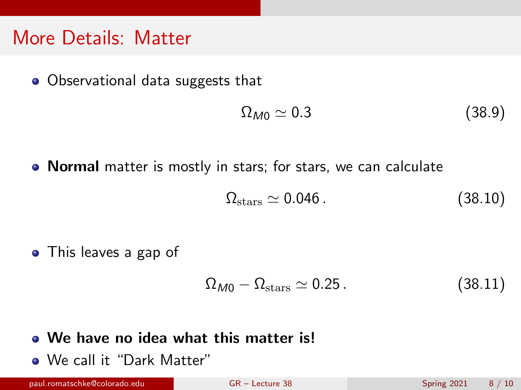### More Details: Matter

• Observational data suggests that

$$
\Omega_{M0} \simeq 0.3 \tag{38.9}
$$

• Normal matter is mostly in stars; for stars, we can calculate

$$
\Omega_{\text{stars}} \simeq 0.046 \,. \tag{38.10}
$$

• This leaves a gap of

$$
\Omega_{M0} - \Omega_{\text{stars}} \simeq 0.25 \,. \tag{38.11}
$$

#### We have no idea what this matter is!

We call it "Dark Matter"

paul.romatschke@colorado.edu [GR – Lecture 38](#page-0-0) Spring 2021 8 / 10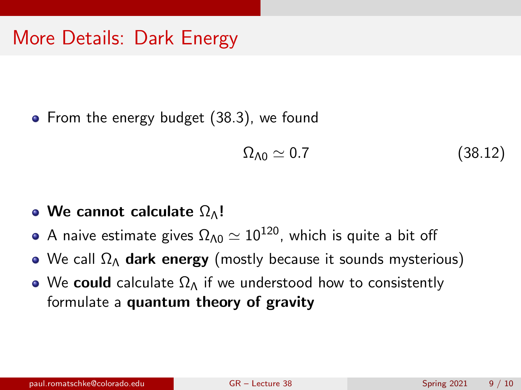# More Details: Dark Energy

• From the energy budget [\(38.3\)](#page-4-0), we found

$$
\Omega_{\Lambda 0} \simeq 0.7 \tag{38.12}
$$

- We cannot calculate  $\Omega_{\Lambda}!$
- A naive estimate gives  $\Omega_{\Lambda 0} \simeq 10^{120}$ , which is quite a bit off
- We call  $\Omega_{\Lambda}$  dark energy (mostly because it sounds mysterious)
- We could calculate  $\Omega_{\Lambda}$  if we understood how to consistently formulate a quantum theory of gravity